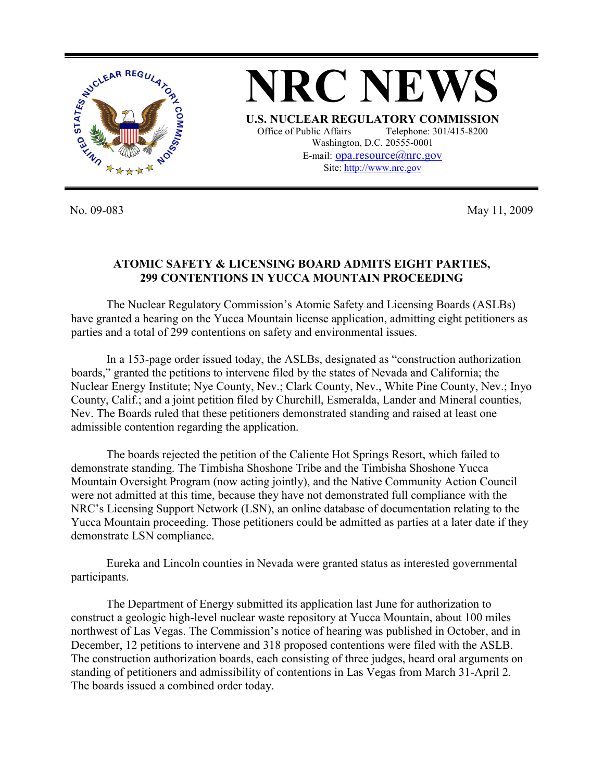

No. 09-083 May 11, 2009

## **ATOMIC SAFETY & LICENSING BOARD ADMITS EIGHT PARTIES, 299 CONTENTIONS IN YUCCA MOUNTAIN PROCEEDING**

 The Nuclear Regulatory Commission's Atomic Safety and Licensing Boards (ASLBs) have granted a hearing on the Yucca Mountain license application, admitting eight petitioners as parties and a total of 299 contentions on safety and environmental issues.

 In a 153-page order issued today, the ASLBs, designated as "construction authorization boards," granted the petitions to intervene filed by the states of Nevada and California; the Nuclear Energy Institute; Nye County, Nev.; Clark County, Nev., White Pine County, Nev.; Inyo County, Calif.; and a joint petition filed by Churchill, Esmeralda, Lander and Mineral counties, Nev. The Boards ruled that these petitioners demonstrated standing and raised at least one admissible contention regarding the application.

 The boards rejected the petition of the Caliente Hot Springs Resort, which failed to demonstrate standing. The Timbisha Shoshone Tribe and the Timbisha Shoshone Yucca Mountain Oversight Program (now acting jointly), and the Native Community Action Council were not admitted at this time, because they have not demonstrated full compliance with the NRC's Licensing Support Network (LSN), an online database of documentation relating to the Yucca Mountain proceeding. Those petitioners could be admitted as parties at a later date if they demonstrate LSN compliance.

 Eureka and Lincoln counties in Nevada were granted status as interested governmental participants.

 The Department of Energy submitted its application last June for authorization to construct a geologic high-level nuclear waste repository at Yucca Mountain, about 100 miles northwest of Las Vegas. The Commission's notice of hearing was published in October, and in December, 12 petitions to intervene and 318 proposed contentions were filed with the ASLB. The construction authorization boards, each consisting of three judges, heard oral arguments on standing of petitioners and admissibility of contentions in Las Vegas from March 31-April 2. The boards issued a combined order today.